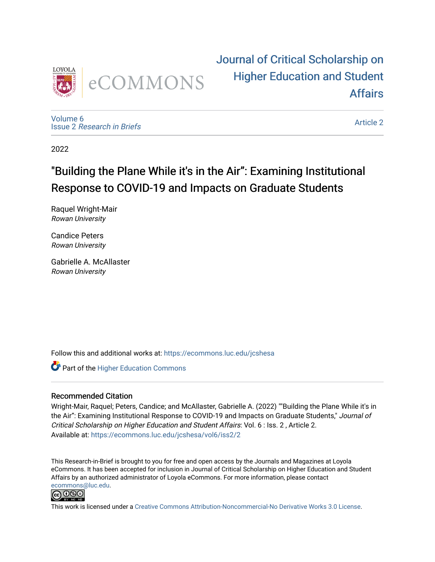

[Journal of Critical Scholarship on](https://ecommons.luc.edu/jcshesa)  [Higher Education and Student](https://ecommons.luc.edu/jcshesa)  [Affairs](https://ecommons.luc.edu/jcshesa) 

[Volume 6](https://ecommons.luc.edu/jcshesa/vol6) Issue 2 [Research in Briefs](https://ecommons.luc.edu/jcshesa/vol6/iss2)

[Article 2](https://ecommons.luc.edu/jcshesa/vol6/iss2/2) 

2022

## "Building the Plane While it's in the Air": Examining Institutional Response to COVID-19 and Impacts on Graduate Students

Raquel Wright-Mair Rowan University

Candice Peters Rowan University

Gabrielle A. McAllaster Rowan University

Follow this and additional works at: [https://ecommons.luc.edu/jcshesa](https://ecommons.luc.edu/jcshesa?utm_source=ecommons.luc.edu%2Fjcshesa%2Fvol6%2Fiss2%2F2&utm_medium=PDF&utm_campaign=PDFCoverPages) 

**Part of the Higher Education Commons** 

#### Recommended Citation

Wright-Mair, Raquel; Peters, Candice; and McAllaster, Gabrielle A. (2022) ""Building the Plane While it's in the Air": Examining Institutional Response to COVID-19 and Impacts on Graduate Students," Journal of Critical Scholarship on Higher Education and Student Affairs: Vol. 6 : Iss. 2 , Article 2. Available at: [https://ecommons.luc.edu/jcshesa/vol6/iss2/2](https://ecommons.luc.edu/jcshesa/vol6/iss2/2?utm_source=ecommons.luc.edu%2Fjcshesa%2Fvol6%2Fiss2%2F2&utm_medium=PDF&utm_campaign=PDFCoverPages) 

This Research-in-Brief is brought to you for free and open access by the Journals and Magazines at Loyola eCommons. It has been accepted for inclusion in Journal of Critical Scholarship on Higher Education and Student Affairs by an authorized administrator of Loyola eCommons. For more information, please contact [ecommons@luc.edu](mailto:ecommons@luc.edu).



This work is licensed under a [Creative Commons Attribution-Noncommercial-No Derivative Works 3.0 License.](https://creativecommons.org/licenses/by-nc-nd/3.0/)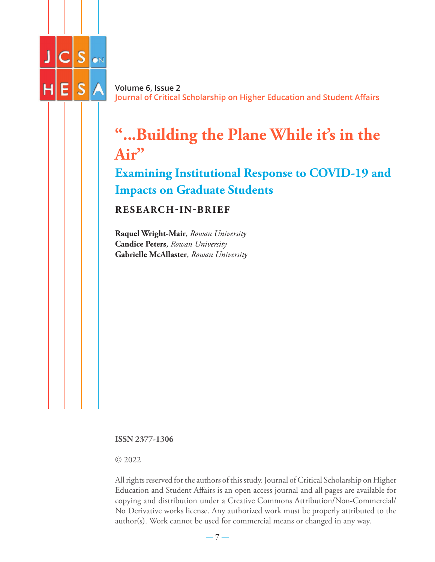

**Volume 6, Issue 2 Journal of Critical Scholarship on Higher Education and Student Affairs**

# **"...Building the Plane While it's in the Air"**

**Examining Institutional Response to COVID-19 and Impacts on Graduate Students**

**RESEARCH-IN-BRIEF**

**Raquel Wright-Mair**, *Rowan University* **Candice Peters**, *Rowan University* **Gabrielle McAllaster**, *Rowan University*

**ISSN 2377-1306**

© 2022

All rights reserved for the authors of this study. Journal of Critical Scholarship on Higher Education and Student Affairs is an open access journal and all pages are available for copying and distribution under a Creative Commons Attribution/Non-Commercial/ No Derivative works license. Any authorized work must be properly attributed to the author(s). Work cannot be used for commercial means or changed in any way.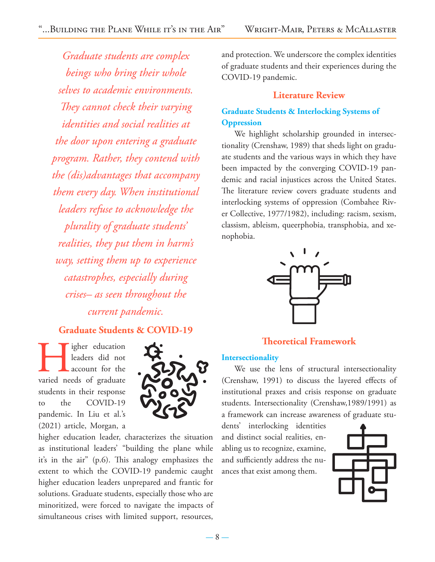*Graduate students are complex beings who bring their whole selves to academic environments. They cannot check their varying identities and social realities at the door upon entering a graduate program. Rather, they contend with the (dis)advantages that accompany them every day. When institutional leaders refuse to acknowledge the plurality of graduate students' realities, they put them in harm's way, setting them up to experience catastrophes, especially during crises– as seen throughout the current pandemic.*

## **Graduate Students & COVID-19**

**Henders** did not account for the varied needs of graduate leaders did not account for the students in their response to the COVID-19 pandemic. In Liu et al.'s (2021) article, Morgan, a



higher education leader, characterizes the situation as institutional leaders' "building the plane while it's in the air" (p.6). This analogy emphasizes the extent to which the COVID-19 pandemic caught higher education leaders unprepared and frantic for solutions. Graduate students, especially those who are minoritized, were forced to navigate the impacts of simultaneous crises with limited support, resources,

and protection. We underscore the complex identities of graduate students and their experiences during the COVID-19 pandemic.

#### **Literature Review**

## **Graduate Students & Interlocking Systems of Oppression**

We highlight scholarship grounded in intersectionality (Crenshaw, 1989) that sheds light on graduate students and the various ways in which they have been impacted by the converging COVID-19 pandemic and racial injustices across the United States. The literature review covers graduate students and interlocking systems of oppression (Combahee River Collective, 1977/1982), including: racism, sexism, classism, ableism, queerphobia, transphobia, and xenophobia.



## **Theoretical Framework**

#### **Intersectionality**

We use the lens of structural intersectionality (Crenshaw, 1991) to discuss the layered effects of institutional praxes and crisis response on graduate students. Intersectionality (Crenshaw,1989/1991) as a framework can increase awareness of graduate stu-

dents' interlocking identities and distinct social realities, enabling us to recognize, examine, and sufficiently address the nuances that exist among them.

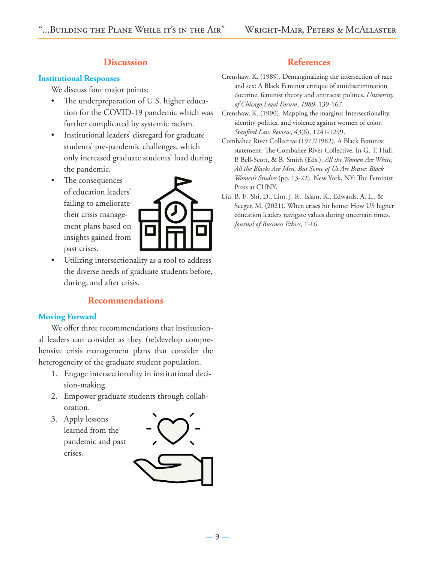## **Discussion**

#### **Institutional Responses**

We discuss four major points:

- The underpreparation of U.S. higher education for the COVID-19 pandemic which was further complicated by systemic racism.
- Institutional leaders' disregard for graduate students' pre-pandemic challenges, which only increased graduate students' load during the pandemic.
- The consequences of education leaders' failing to ameliorate their crisis management plans based on insights gained from past crises.



Utilizing intersectionality as a tool to address the diverse needs of graduate students before, during, and after crisis.

## **Recommendations**

#### **Moving Forward**

We offer three recommendations that institutional leaders can consider as they (re)develop comprehensive crisis management plans that consider the heterogeneity of the graduate student population.

- 1. Engage intersectionality in institutional decision-making.
- 2. Empower graduate students through collaboration.
- 3. Apply lessons learned from the pandemic and past crises.





## **References**

- Crenshaw, K. (1989). Demarginalizing the intersection of race and sex: A Black Feminist critique of antidiscrimination doctrine, feminist theory and antiracist politics. *University of Chicago Legal Forum*, *1989*, 139-167.
- Crenshaw, K. (1990). Mapping the margins: Intersectionality, identity politics, and violence against women of color. *Stanford Law Review*, *43*(6), 1241-1299.
- Combahee River Collective (1977/1982). A Black Feminist statement: The Combahee River Collective. In G. T. Hull, P. Bell-Scott, & B. Smith (Eds.), *All the Women Are White, All the Blacks Are Men, But Some of Us Are Brave: Black Women's Studies* (pp. 13-22). New York, NY: The Feminist Press at CUNY.
- Liu, B. F., Shi, D., Lim, J. R., Islam, K., Edwards, A. L., & Seeger, M. (2021). When crises hit home: How US higher education leaders navigate values during uncertain times. *Journal of Business Ethics*, 1-16.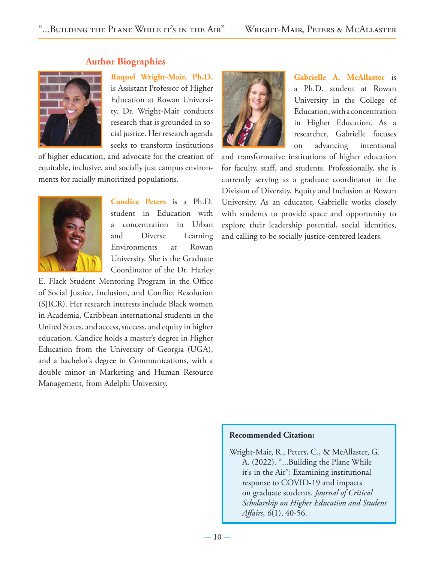

### **Author Biographies**

**Raquel Wright-Mair, Ph.D.**

is Assistant Professor of Higher Education at Rowan University. Dr. Wright-Mair conducts research that is grounded in social justice. Her research agenda seeks to transform institutions

of higher education, and advocate for the creation of equitable, inclusive, and socially just campus environments for racially minoritized populations.



**Candice Peters** is a Ph.D. student in Education with a concentration in Urban and Diverse Learning Environments at Rowan University. She is the Graduate Coordinator of the Dr. Harley

E. Flack Student Mentoring Program in the Office of Social Justice, Inclusion, and Conflict Resolution (SJICR). Her research interests include Black women in Academia, Caribbean international students in the United States, and access, success, and equity in higher education. Candice holds a master's degree in Higher Education from the University of Georgia (UGA), and a bachelor's degree in Communications, with a double minor in Marketing and Human Resource Management, from Adelphi University.



**Gabrielle A. McAllaster** is a Ph.D. student at Rowan University in the College of Education, with a concentration in Higher Education. As a researcher, Gabrielle focuses on advancing intentional

and transformative institutions of higher education for faculty, staff, and students. Professionally, she is currently serving as a graduate coordinator in the Division of Diversity, Equity and Inclusion at Rowan University. As an educator, Gabrielle works closely with students to provide space and opportunity to explore their leadership potential, social identities, and calling to be socially justice-centered leaders.

#### **Recommended Citation:**

Wright-Mair, R., Peters, C., & McAllaster, G. A. (2022). "...Building the Plane While it's in the Air": Examining institutional response to COVID-19 and impacts on graduate students. *Journal of Critical Scholarship on Higher Education and Student Affairs*, *6*(1), 40-56.